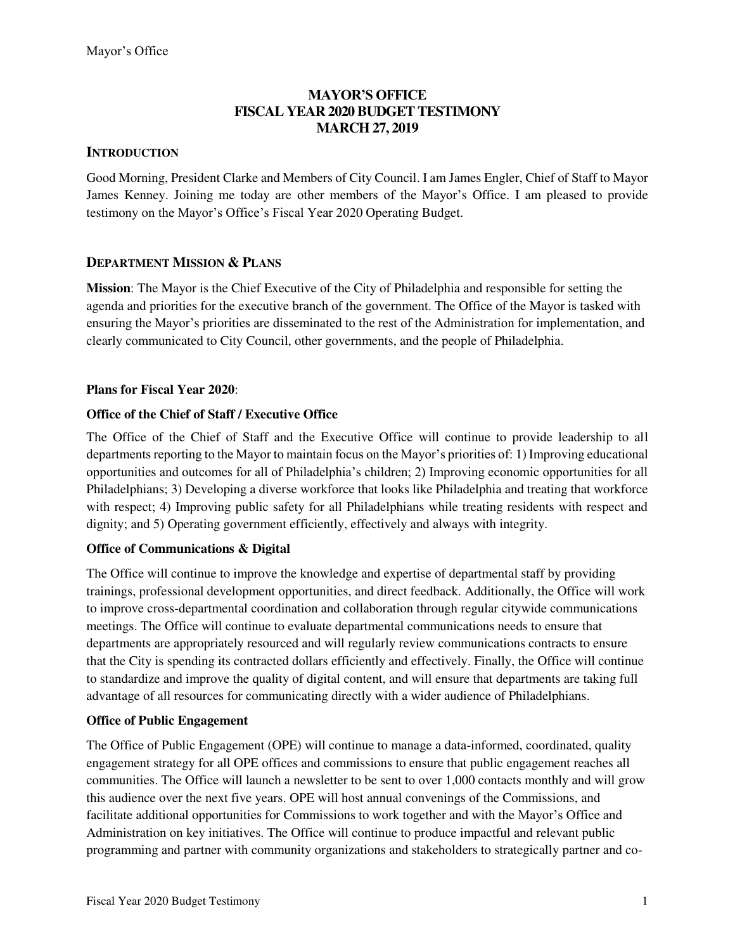## **MAYOR'S OFFICE FISCAL YEAR 2020 BUDGET TESTIMONY MARCH 27, 2019**

#### **INTRODUCTION**

Good Morning, President Clarke and Members of City Council. I am James Engler, Chief of Staff to Mayor James Kenney. Joining me today are other members of the Mayor's Office. I am pleased to provide testimony on the Mayor's Office's Fiscal Year 2020 Operating Budget.

## **DEPARTMENT MISSION & PLANS**

**Mission**: The Mayor is the Chief Executive of the City of Philadelphia and responsible for setting the agenda and priorities for the executive branch of the government. The Office of the Mayor is tasked with ensuring the Mayor's priorities are disseminated to the rest of the Administration for implementation, and clearly communicated to City Council, other governments, and the people of Philadelphia.

## **Plans for Fiscal Year 2020**:

## **Office of the Chief of Staff / Executive Office**

The Office of the Chief of Staff and the Executive Office will continue to provide leadership to all departments reporting to the Mayor to maintain focus on the Mayor's priorities of: 1) Improving educational opportunities and outcomes for all of Philadelphia's children; 2) Improving economic opportunities for all Philadelphians; 3) Developing a diverse workforce that looks like Philadelphia and treating that workforce with respect; 4) Improving public safety for all Philadelphians while treating residents with respect and dignity; and 5) Operating government efficiently, effectively and always with integrity.

#### **Office of Communications & Digital**

The Office will continue to improve the knowledge and expertise of departmental staff by providing trainings, professional development opportunities, and direct feedback. Additionally, the Office will work to improve cross-departmental coordination and collaboration through regular citywide communications meetings. The Office will continue to evaluate departmental communications needs to ensure that departments are appropriately resourced and will regularly review communications contracts to ensure that the City is spending its contracted dollars efficiently and effectively. Finally, the Office will continue to standardize and improve the quality of digital content, and will ensure that departments are taking full advantage of all resources for communicating directly with a wider audience of Philadelphians.

#### **Office of Public Engagement**

The Office of Public Engagement (OPE) will continue to manage a data-informed, coordinated, quality engagement strategy for all OPE offices and commissions to ensure that public engagement reaches all communities. The Office will launch a newsletter to be sent to over 1,000 contacts monthly and will grow this audience over the next five years. OPE will host annual convenings of the Commissions, and facilitate additional opportunities for Commissions to work together and with the Mayor's Office and Administration on key initiatives. The Office will continue to produce impactful and relevant public programming and partner with community organizations and stakeholders to strategically partner and co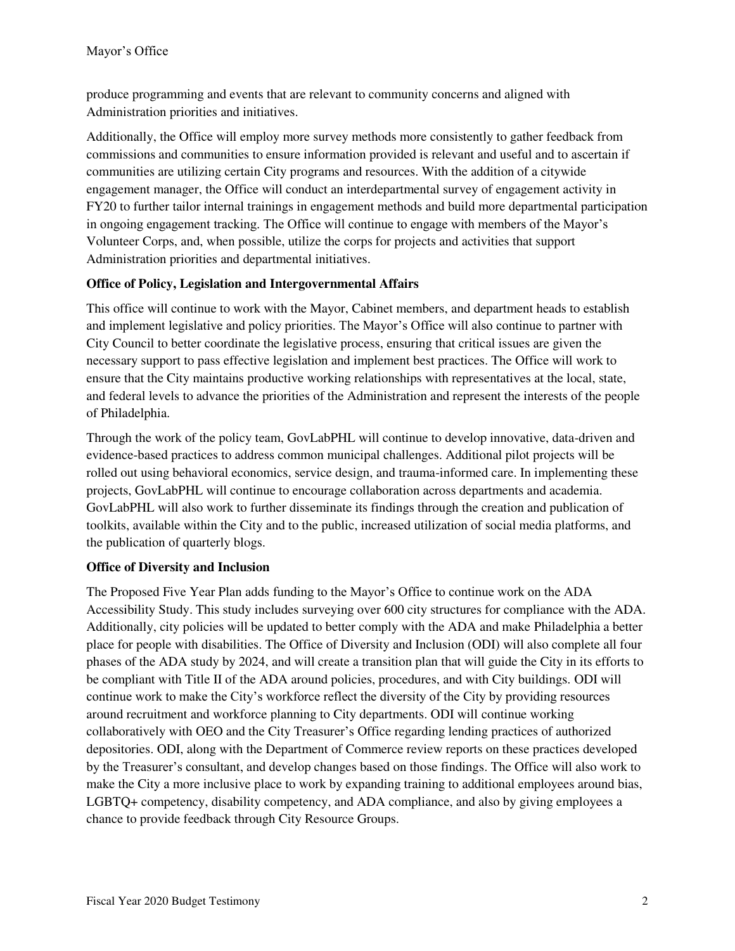produce programming and events that are relevant to community concerns and aligned with Administration priorities and initiatives.

Additionally, the Office will employ more survey methods more consistently to gather feedback from commissions and communities to ensure information provided is relevant and useful and to ascertain if communities are utilizing certain City programs and resources. With the addition of a citywide engagement manager, the Office will conduct an interdepartmental survey of engagement activity in FY20 to further tailor internal trainings in engagement methods and build more departmental participation in ongoing engagement tracking. The Office will continue to engage with members of the Mayor's Volunteer Corps, and, when possible, utilize the corps for projects and activities that support Administration priorities and departmental initiatives.

## **Office of Policy, Legislation and Intergovernmental Affairs**

This office will continue to work with the Mayor, Cabinet members, and department heads to establish and implement legislative and policy priorities. The Mayor's Office will also continue to partner with City Council to better coordinate the legislative process, ensuring that critical issues are given the necessary support to pass effective legislation and implement best practices. The Office will work to ensure that the City maintains productive working relationships with representatives at the local, state, and federal levels to advance the priorities of the Administration and represent the interests of the people of Philadelphia.

Through the work of the policy team, GovLabPHL will continue to develop innovative, data-driven and evidence-based practices to address common municipal challenges. Additional pilot projects will be rolled out using behavioral economics, service design, and trauma-informed care. In implementing these projects, GovLabPHL will continue to encourage collaboration across departments and academia. GovLabPHL will also work to further disseminate its findings through the creation and publication of toolkits, available within the City and to the public, increased utilization of social media platforms, and the publication of quarterly blogs.

#### **Office of Diversity and Inclusion**

The Proposed Five Year Plan adds funding to the Mayor's Office to continue work on the ADA Accessibility Study. This study includes surveying over 600 city structures for compliance with the ADA. Additionally, city policies will be updated to better comply with the ADA and make Philadelphia a better place for people with disabilities. The Office of Diversity and Inclusion (ODI) will also complete all four phases of the ADA study by 2024, and will create a transition plan that will guide the City in its efforts to be compliant with Title II of the ADA around policies, procedures, and with City buildings. ODI will continue work to make the City's workforce reflect the diversity of the City by providing resources around recruitment and workforce planning to City departments. ODI will continue working collaboratively with OEO and the City Treasurer's Office regarding lending practices of authorized depositories. ODI, along with the Department of Commerce review reports on these practices developed by the Treasurer's consultant, and develop changes based on those findings. The Office will also work to make the City a more inclusive place to work by expanding training to additional employees around bias, LGBTQ+ competency, disability competency, and ADA compliance, and also by giving employees a chance to provide feedback through City Resource Groups.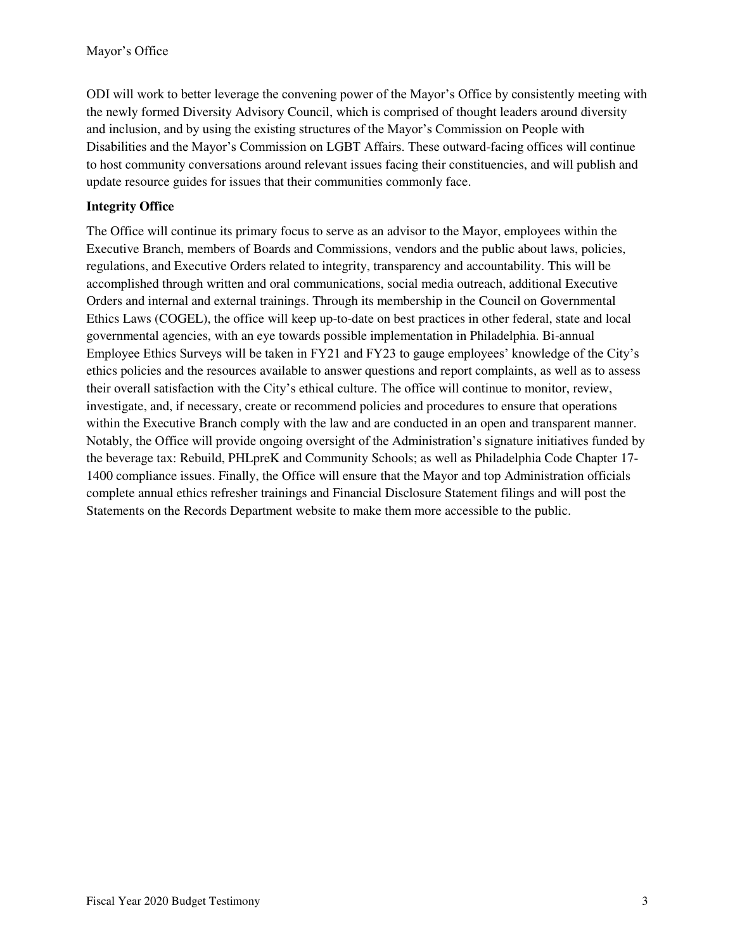ODI will work to better leverage the convening power of the Mayor's Office by consistently meeting with the newly formed Diversity Advisory Council, which is comprised of thought leaders around diversity and inclusion, and by using the existing structures of the Mayor's Commission on People with Disabilities and the Mayor's Commission on LGBT Affairs. These outward-facing offices will continue to host community conversations around relevant issues facing their constituencies, and will publish and update resource guides for issues that their communities commonly face.

## **Integrity Office**

The Office will continue its primary focus to serve as an advisor to the Mayor, employees within the Executive Branch, members of Boards and Commissions, vendors and the public about laws, policies, regulations, and Executive Orders related to integrity, transparency and accountability. This will be accomplished through written and oral communications, social media outreach, additional Executive Orders and internal and external trainings. Through its membership in the Council on Governmental Ethics Laws (COGEL), the office will keep up-to-date on best practices in other federal, state and local governmental agencies, with an eye towards possible implementation in Philadelphia. Bi-annual Employee Ethics Surveys will be taken in FY21 and FY23 to gauge employees' knowledge of the City's ethics policies and the resources available to answer questions and report complaints, as well as to assess their overall satisfaction with the City's ethical culture. The office will continue to monitor, review, investigate, and, if necessary, create or recommend policies and procedures to ensure that operations within the Executive Branch comply with the law and are conducted in an open and transparent manner. Notably, the Office will provide ongoing oversight of the Administration's signature initiatives funded by the beverage tax: Rebuild, PHLpreK and Community Schools; as well as Philadelphia Code Chapter 17- 1400 compliance issues. Finally, the Office will ensure that the Mayor and top Administration officials complete annual ethics refresher trainings and Financial Disclosure Statement filings and will post the Statements on the Records Department website to make them more accessible to the public.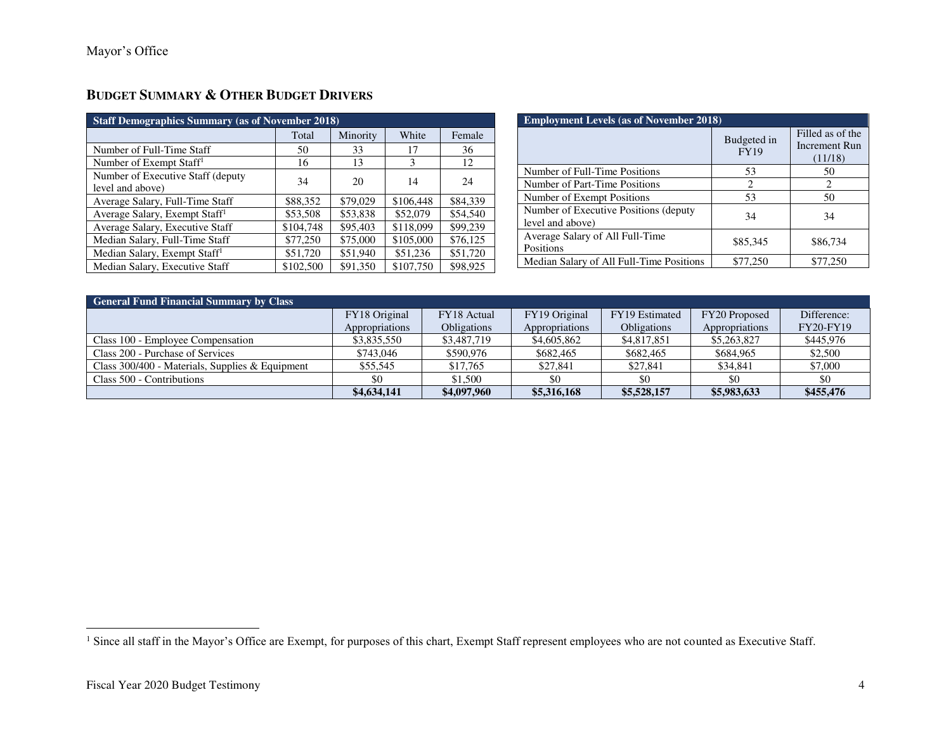# **BUDGET SUMMARY & OTHER BUDGET DRIVERS**

| <b>Staff Demographics Summary (as of November 2018)</b> |           |          |           |          |  |  |
|---------------------------------------------------------|-----------|----------|-----------|----------|--|--|
|                                                         | Total     | Minority | White     | Female   |  |  |
| Number of Full-Time Staff                               | 50        | 33       | 17        | 36       |  |  |
| Number of Exempt Staff <sup>1</sup>                     | 16        | 13       | 3         | 12       |  |  |
| Number of Executive Staff (deputy)<br>level and above)  | 34        | 20       | 14        | 24       |  |  |
| Average Salary, Full-Time Staff                         | \$88,352  | \$79,029 | \$106,448 | \$84,339 |  |  |
| Average Salary, Exempt Staff <sup>1</sup>               | \$53,508  | \$53,838 | \$52,079  | \$54,540 |  |  |
| Average Salary, Executive Staff                         | \$104,748 | \$95,403 | \$118,099 | \$99,239 |  |  |
| Median Salary, Full-Time Staff                          | \$77,250  | \$75,000 | \$105,000 | \$76,125 |  |  |
| Median Salary, Exempt Staff <sup>1</sup>                | \$51,720  | \$51,940 | \$51,236  | \$51,720 |  |  |
| Median Salary, Executive Staff                          | \$102,500 | \$91,350 | \$107,750 | \$98,925 |  |  |

| <b>Employment Levels (as of November 2018)</b>             |                            |          |  |  |  |
|------------------------------------------------------------|----------------------------|----------|--|--|--|
|                                                            | Budgeted in<br><b>FY19</b> |          |  |  |  |
| Number of Full-Time Positions                              | 53                         | 50       |  |  |  |
| Number of Part-Time Positions                              | 2                          | 2        |  |  |  |
| Number of Exempt Positions                                 | 53                         | 50       |  |  |  |
| Number of Executive Positions (deputy)<br>level and above) | 34                         | 34       |  |  |  |
| Average Salary of All Full-Time<br>Positions               | \$85,345                   | \$86,734 |  |  |  |
| Median Salary of All Full-Time Positions                   | \$77,250                   | \$77.250 |  |  |  |

| <b>General Fund Financial Summary by Class</b>    |                |                    |                |                    |                |                  |
|---------------------------------------------------|----------------|--------------------|----------------|--------------------|----------------|------------------|
|                                                   | FY18 Original  | FY18 Actual        | FY19 Original  | FY19 Estimated     | FY20 Proposed  | Difference:      |
|                                                   | Appropriations | <b>Obligations</b> | Appropriations | <b>Obligations</b> | Appropriations | <b>FY20-FY19</b> |
| Class 100 - Employee Compensation                 | \$3,835,550    | \$3,487,719        | \$4,605,862    | \$4,817,851        | \$5,263,827    | \$445,976        |
| Class 200 - Purchase of Services                  | \$743,046      | \$590,976          | \$682,465      | \$682,465          | \$684,965      | \$2,500          |
| Class $300/400$ - Materials, Supplies & Equipment | \$55.545       | \$17,765           | \$27,841       | \$27,841           | \$34.841       | \$7,000          |
| Class 500 - Contributions                         | \$0            | \$1,500            | \$0            |                    | \$0            | \$0              |
|                                                   | \$4,634,141    | \$4,097,960        | \$5,316,168    | \$5,528,157        | \$5,983,633    | \$455,476        |

 $\overline{a}$ 

<sup>&</sup>lt;sup>1</sup> Since all staff in the Mayor's Office are Exempt, for purposes of this chart, Exempt Staff represent employees who are not counted as Executive Staff.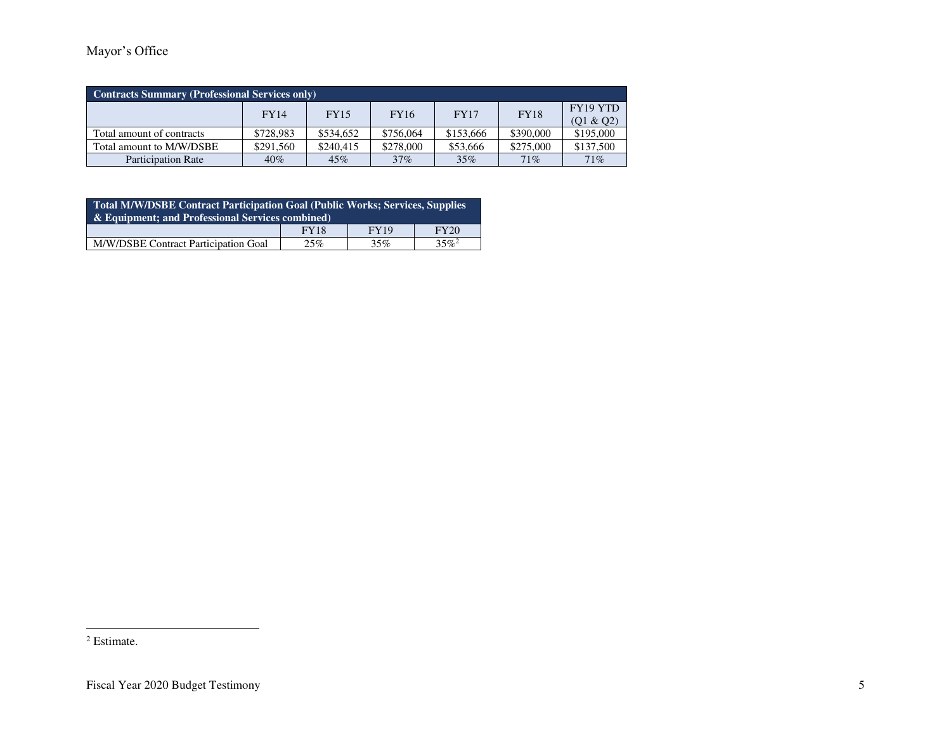| <b>Contracts Summary (Professional Services only)</b> |             |             |             |             |           |                       |
|-------------------------------------------------------|-------------|-------------|-------------|-------------|-----------|-----------------------|
|                                                       | <b>FY14</b> | <b>FY15</b> | <b>FY16</b> | <b>FY17</b> | FY18      | FY19 YTD<br>(Q1 & Q2) |
| Total amount of contracts                             | \$728,983   | \$534,652   | \$756,064   | \$153,666   | \$390,000 | \$195,000             |
| Total amount to M/W/DSBE                              | \$291,560   | \$240,415   | \$278,000   | \$53,666    | \$275,000 | \$137,500             |
| <b>Participation Rate</b>                             | 40%         | 45%         | 37%         | 35%         | 71%       | 71%                   |

| <b>Total M/W/DSBE Contract Participation Goal (Public Works; Services, Supplies</b><br>& Equipment: and Professional Services combined) |  |  |  |  |  |  |
|-----------------------------------------------------------------------------------------------------------------------------------------|--|--|--|--|--|--|
| <b>FY19</b><br>FY20<br><b>FY18</b>                                                                                                      |  |  |  |  |  |  |
| $35\%^2$<br>M/W/DSBE Contract Participation Goal<br>25%<br>35%                                                                          |  |  |  |  |  |  |

<sup>&</sup>lt;sup>2</sup> Estimate.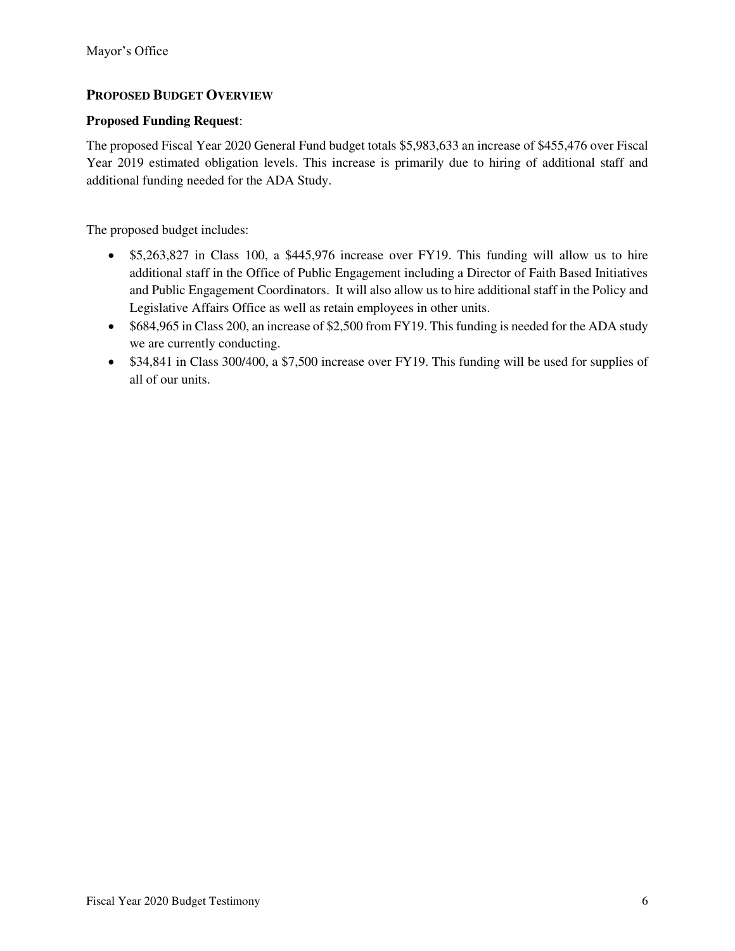## **PROPOSED BUDGET OVERVIEW**

#### **Proposed Funding Request**:

The proposed Fiscal Year 2020 General Fund budget totals \$5,983,633 an increase of \$455,476 over Fiscal Year 2019 estimated obligation levels. This increase is primarily due to hiring of additional staff and additional funding needed for the ADA Study.

The proposed budget includes:

- \$5,263,827 in Class 100, a \$445,976 increase over FY19. This funding will allow us to hire additional staff in the Office of Public Engagement including a Director of Faith Based Initiatives and Public Engagement Coordinators. It will also allow us to hire additional staff in the Policy and Legislative Affairs Office as well as retain employees in other units.
- \$684,965 in Class 200, an increase of \$2,500 from FY19. This funding is needed for the ADA study we are currently conducting.
- \$34,841 in Class 300/400, a \$7,500 increase over FY19. This funding will be used for supplies of all of our units.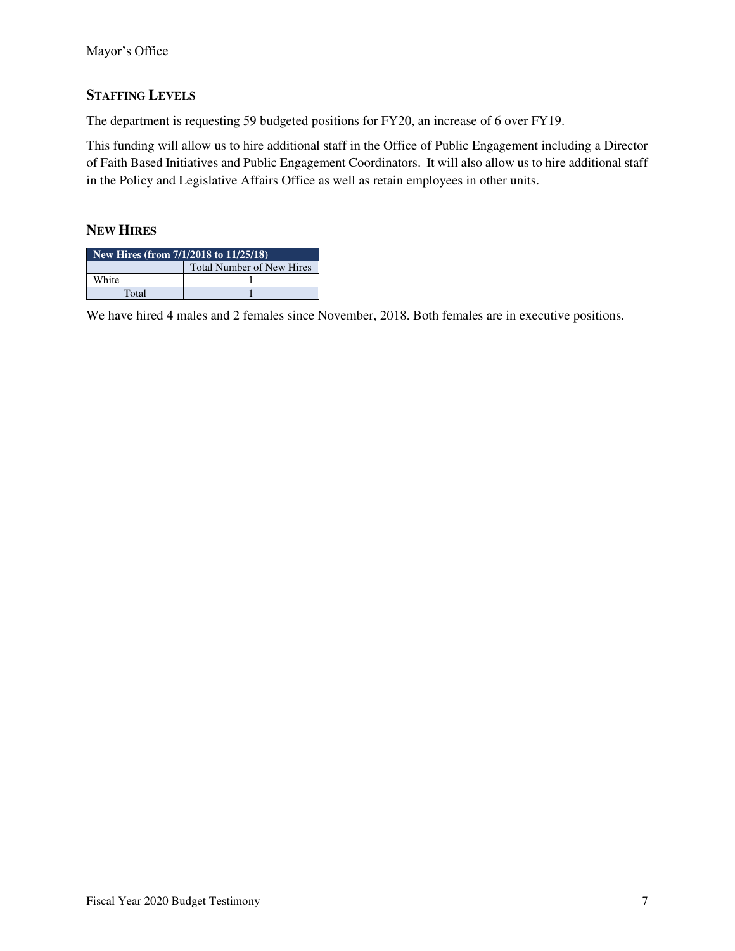## **STAFFING LEVELS**

The department is requesting 59 budgeted positions for FY20, an increase of 6 over FY19.

This funding will allow us to hire additional staff in the Office of Public Engagement including a Director of Faith Based Initiatives and Public Engagement Coordinators. It will also allow us to hire additional staff in the Policy and Legislative Affairs Office as well as retain employees in other units.

#### **NEW HIRES**

| New Hires (from $7/1/2018$ to $11/25/18$ ) |  |  |  |  |
|--------------------------------------------|--|--|--|--|
| <b>Total Number of New Hires</b>           |  |  |  |  |
| White                                      |  |  |  |  |
| Total                                      |  |  |  |  |

We have hired 4 males and 2 females since November, 2018. Both females are in executive positions.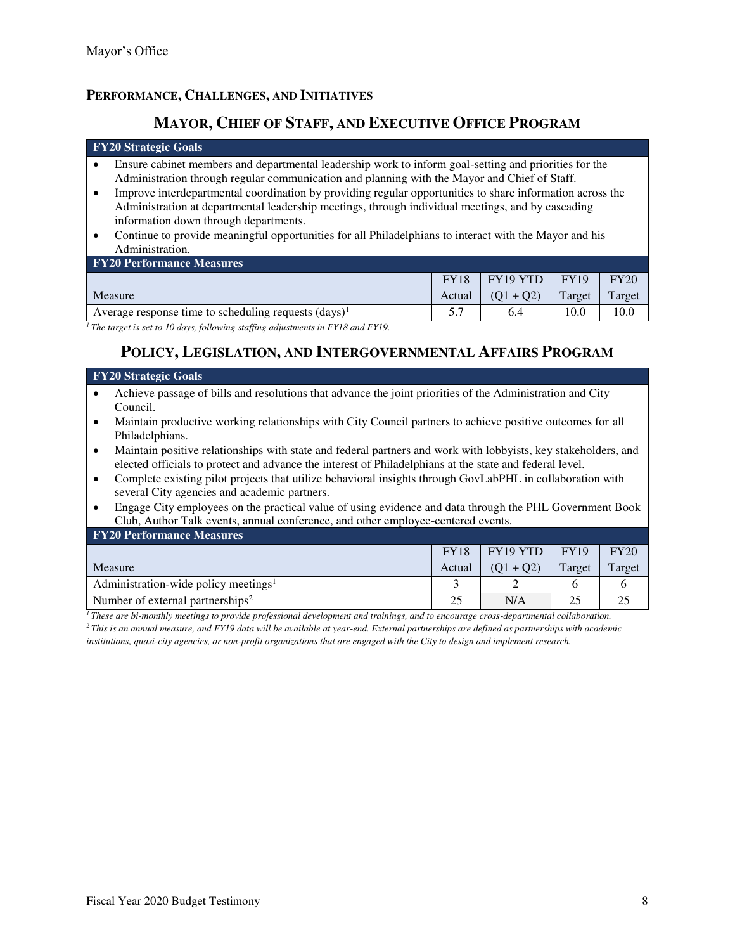## **PERFORMANCE, CHALLENGES, AND INITIATIVES**

# **MAYOR, CHIEF OF STAFF, AND EXECUTIVE OFFICE PROGRAM**

#### **FY20 Strategic Goals**

- Ensure cabinet members and departmental leadership work to inform goal-setting and priorities for the Administration through regular communication and planning with the Mayor and Chief of Staff.
- Improve interdepartmental coordination by providing regular opportunities to share information across the Administration at departmental leadership meetings, through individual meetings, and by cascading information down through departments.
- Continue to provide meaningful opportunities for all Philadelphians to interact with the Mayor and his Administration.

| <b>FY20 Performance Measures</b>                                                                                                                                                                                                                                                                                                                                                        |             |                 |        |        |
|-----------------------------------------------------------------------------------------------------------------------------------------------------------------------------------------------------------------------------------------------------------------------------------------------------------------------------------------------------------------------------------------|-------------|-----------------|--------|--------|
|                                                                                                                                                                                                                                                                                                                                                                                         | <b>FY18</b> | $FY19 YTD$ FY19 |        | FY20   |
| <b>Measure</b>                                                                                                                                                                                                                                                                                                                                                                          | Actual      | $(01 + 02)$     | Target | Target |
| Average response time to scheduling requests $(days)^{1}$                                                                                                                                                                                                                                                                                                                               |             | 6.4             | 10.0   | 10.0   |
| $\frac{1}{2}$ and $\frac{1}{2}$ and $\frac{1}{2}$ and $\frac{1}{2}$ and $\frac{1}{2}$ and $\frac{1}{2}$ and $\frac{1}{2}$ and $\frac{1}{2}$ and $\frac{1}{2}$ and $\frac{1}{2}$ and $\frac{1}{2}$ and $\frac{1}{2}$ and $\frac{1}{2}$ and $\frac{1}{2}$ and $\frac{1}{2}$ and $\frac{1}{2}$ a<br>$\alpha$ $\alpha$<br>$\cdots$ $\cdots$ $\cdots$<br>$- - - - -$<br>$\sim$ $\sim$ $\sim$ |             |                 |        |        |

*<sup>1</sup>The target is set to 10 days, following staffing adjustments in FY18 and FY19.*

## **POLICY, LEGISLATION, AND INTERGOVERNMENTAL AFFAIRS PROGRAM**

#### **FY20 Strategic Goals**

- Achieve passage of bills and resolutions that advance the joint priorities of the Administration and City Council.
- Maintain productive working relationships with City Council partners to achieve positive outcomes for all Philadelphians.
- Maintain positive relationships with state and federal partners and work with lobbyists, key stakeholders, and elected officials to protect and advance the interest of Philadelphians at the state and federal level.
- Complete existing pilot projects that utilize behavioral insights through GovLabPHL in collaboration with several City agencies and academic partners.
- Engage City employees on the practical value of using evidence and data through the PHL Government Book Club, Author Talk events, annual conference, and other employee-centered events.

| <b>FY20 Performance Measures</b>                 |             |                 |        |        |
|--------------------------------------------------|-------------|-----------------|--------|--------|
|                                                  | <b>FY18</b> | $FY19 YTD$ FY19 |        | FY20   |
| Measure                                          | Actual      | $(O1 + O2)$     | Target | Target |
| Administration-wide policy meetings <sup>1</sup> |             |                 |        |        |
| Number of external partnerships <sup>2</sup>     |             | N/A             |        |        |

*<sup>1</sup>These are bi-monthly meetings to provide professional development and trainings, and to encourage cross-departmental collaboration. <sup>2</sup>This is an annual measure, and FY19 data will be available at year-end. External partnerships are defined as partnerships with academic* 

*institutions, quasi-city agencies, or non-profit organizations that are engaged with the City to design and implement research.*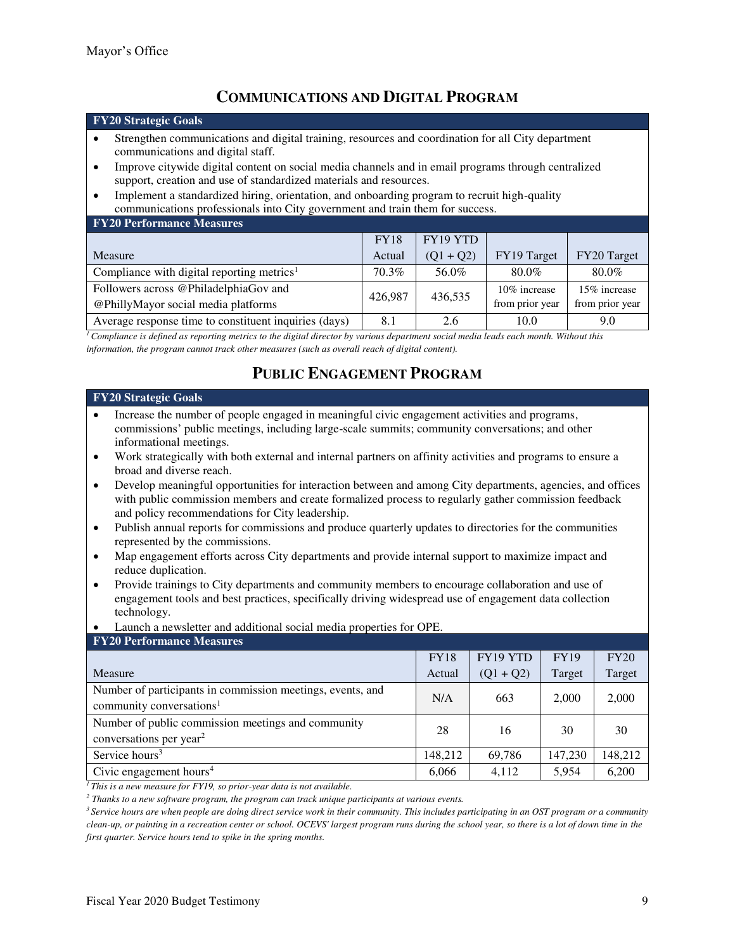# **COMMUNICATIONS AND DIGITAL PROGRAM**

#### **FY20 Strategic Goals**

- Strengthen communications and digital training, resources and coordination for all City department communications and digital staff.
- Improve citywide digital content on social media channels and in email programs through centralized support, creation and use of standardized materials and resources.
- Implement a standardized hiring, orientation, and onboarding program to recruit high-quality communications professionals into City government and train them for success.

| <b>FY20 Performance Measures</b>                       |             |             |                 |                 |
|--------------------------------------------------------|-------------|-------------|-----------------|-----------------|
|                                                        | <b>FY18</b> | FY19 YTD    |                 |                 |
| Measure                                                | Actual      | $(Q1 + Q2)$ | FY19 Target     | FY20 Target     |
| Compliance with digital reporting metrics <sup>1</sup> | 70.3%       | 56.0%       | 80.0%           | 80.0%           |
| Followers across @PhiladelphiaGov and                  | 426,987     | 436,535     | 10\% increase   | 15% increase    |
| @PhillyMayor social media platforms                    |             |             | from prior year | from prior year |
| Average response time to constituent inquiries (days)  | 8.1         | 2.6         | 10.0            | 9.0             |

*<sup>1</sup>Compliance is defined as reporting metrics to the digital director by various department social media leads each month. Without this information, the program cannot track other measures (such as overall reach of digital content).* 

# **PUBLIC ENGAGEMENT PROGRAM**

#### **FY20 Strategic Goals**

- Increase the number of people engaged in meaningful civic engagement activities and programs, commissions' public meetings, including large-scale summits; community conversations; and other informational meetings.
- Work strategically with both external and internal partners on affinity activities and programs to ensure a broad and diverse reach.
- Develop meaningful opportunities for interaction between and among City departments, agencies, and offices with public commission members and create formalized process to regularly gather commission feedback and policy recommendations for City leadership.
- Publish annual reports for commissions and produce quarterly updates to directories for the communities represented by the commissions.
- Map engagement efforts across City departments and provide internal support to maximize impact and reduce duplication.
- Provide trainings to City departments and community members to encourage collaboration and use of engagement tools and best practices, specifically driving widespread use of engagement data collection technology.
- Launch a newsletter and additional social media properties for OPE.

| <b>FY20 Performance Measures</b>                                                                   |             |             |             |         |
|----------------------------------------------------------------------------------------------------|-------------|-------------|-------------|---------|
|                                                                                                    | <b>FY18</b> | FY19 YTD    | <b>FY19</b> | FY20    |
| Measure                                                                                            | Actual      | $(Q1 + Q2)$ | Target      | Target  |
| Number of participants in commission meetings, events, and<br>community conversations <sup>1</sup> | N/A         | 663         | 2,000       | 2,000   |
| Number of public commission meetings and community<br>conversations per year <sup>2</sup>          | 28          | 16          | 30          | 30      |
| Service hours <sup>3</sup>                                                                         | 148,212     | 69,786      | 147,230     | 148,212 |
| Civic engagement hours <sup>4</sup>                                                                | 6,066       | 4,112       | 5,954       | 6,200   |

*<sup>1</sup>This is a new measure for FY19, so prior-year data is not available.* 

*2 Thanks to a new software program, the program can track unique participants at various events.* 

*<sup>3</sup>Service hours are when people are doing direct service work in their community. This includes participating in an OST program or a community clean-up, or painting in a recreation center or school. OCEVS' largest program runs during the school year, so there is a lot of down time in the first quarter. Service hours tend to spike in the spring months.*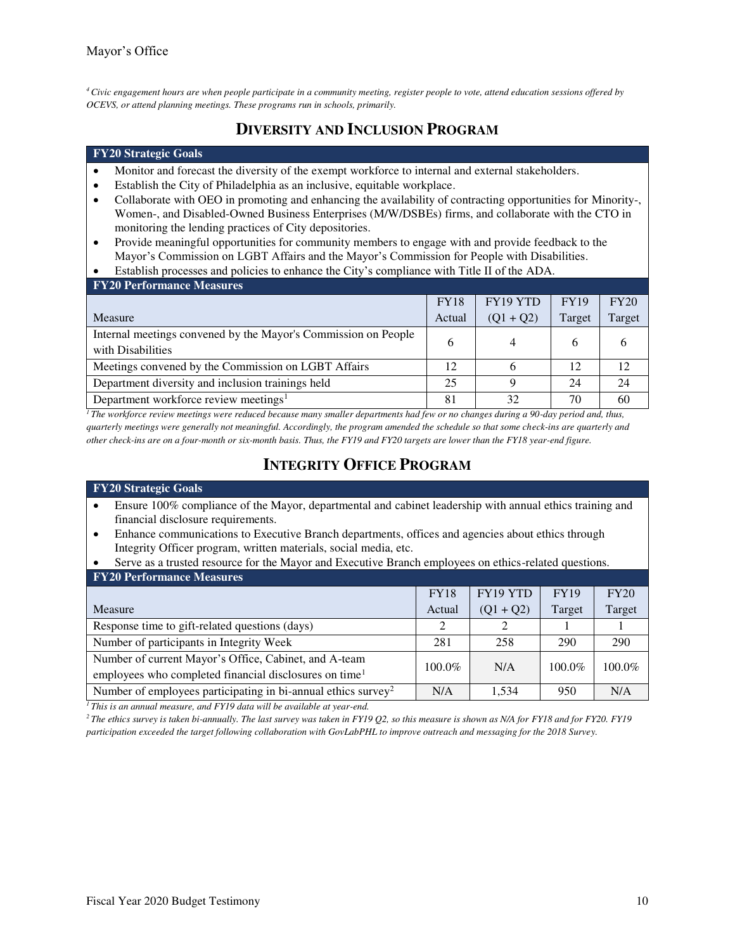*<sup>4</sup>Civic engagement hours are when people participate in a community meeting, register people to vote, attend education sessions offered by OCEVS, or attend planning meetings. These programs run in schools, primarily.*

# **DIVERSITY AND INCLUSION PROGRAM**

#### **FY20 Strategic Goals**

- Monitor and forecast the diversity of the exempt workforce to internal and external stakeholders.
- Establish the City of Philadelphia as an inclusive, equitable workplace.
- Collaborate with OEO in promoting and enhancing the availability of contracting opportunities for Minority-, Women-, and Disabled-Owned Business Enterprises (M/W/DSBEs) firms, and collaborate with the CTO in monitoring the lending practices of City depositories.
- Provide meaningful opportunities for community members to engage with and provide feedback to the Mayor's Commission on LGBT Affairs and the Mayor's Commission for People with Disabilities.
- Establish processes and policies to enhance the City's compliance with Title II of the ADA.

| <b>FY20 Performance Measures</b>                                                    |             |             |             |        |
|-------------------------------------------------------------------------------------|-------------|-------------|-------------|--------|
|                                                                                     | <b>FY18</b> | FY19 YTD    | <b>FY19</b> | FY20   |
| <b>Measure</b>                                                                      | Actual      | $(Q1 + Q2)$ | Target      | Target |
| Internal meetings convened by the Mayor's Commission on People<br>with Disabilities | 6           | 4           | b           |        |
| Meetings convened by the Commission on LGBT Affairs                                 | 12          | h           | 12          | 12     |
| Department diversity and inclusion trainings held                                   | 25          | Q           | 24          | 24     |
| Department workforce review meetings <sup>1</sup>                                   | 81          | 32          | 70          | 60     |

<sup>1</sup>*The workforce review meetings were reduced because many smaller departments had few or no changes during a 90-day period and, thus, quarterly meetings were generally not meaningful. Accordingly, the program amended the schedule so that some check-ins are quarterly and other check-ins are on a four-month or six-month basis. Thus, the FY19 and FY20 targets are lower than the FY18 year-end figure.* 

# **INTEGRITY OFFICE PROGRAM**

#### **FY20 Strategic Goals**

- Ensure 100% compliance of the Mayor, departmental and cabinet leadership with annual ethics training and financial disclosure requirements.
- Enhance communications to Executive Branch departments, offices and agencies about ethics through Integrity Officer program, written materials, social media, etc.

| Serve as a trusted resource for the Mayor and Executive Branch employees on ethics-related questions. |             |             |             |        |  |
|-------------------------------------------------------------------------------------------------------|-------------|-------------|-------------|--------|--|
| <b>FY20 Performance Measures</b>                                                                      |             |             |             |        |  |
|                                                                                                       | <b>FY18</b> | FY19 YTD    | <b>FY19</b> | FY20   |  |
| Measure                                                                                               | Actual      | $(Q1 + Q2)$ | Target      | Target |  |
| Response time to gift-related questions (days)                                                        | 2           | 2           |             |        |  |
| Number of participants in Integrity Week                                                              | 281         | 258         | 290         | 290    |  |
| Number of current Mayor's Office, Cabinet, and A-team                                                 | 100.0%      | N/A         | 100.0%      | 100.0% |  |
| employees who completed financial disclosures on time <sup>1</sup>                                    |             |             |             |        |  |
| Number of employees participating in bi-annual ethics survey <sup>2</sup>                             | N/A         | 1.534       | 950         | N/A    |  |

*<sup>1</sup>This is an annual measure, and FY19 data will be available at year-end.* 

*<sup>2</sup>The ethics survey is taken bi-annually. The last survey was taken in FY19 Q2, so this measure is shown as N/A for FY18 and for FY20. FY19 participation exceeded the target following collaboration with GovLabPHL to improve outreach and messaging for the 2018 Survey.*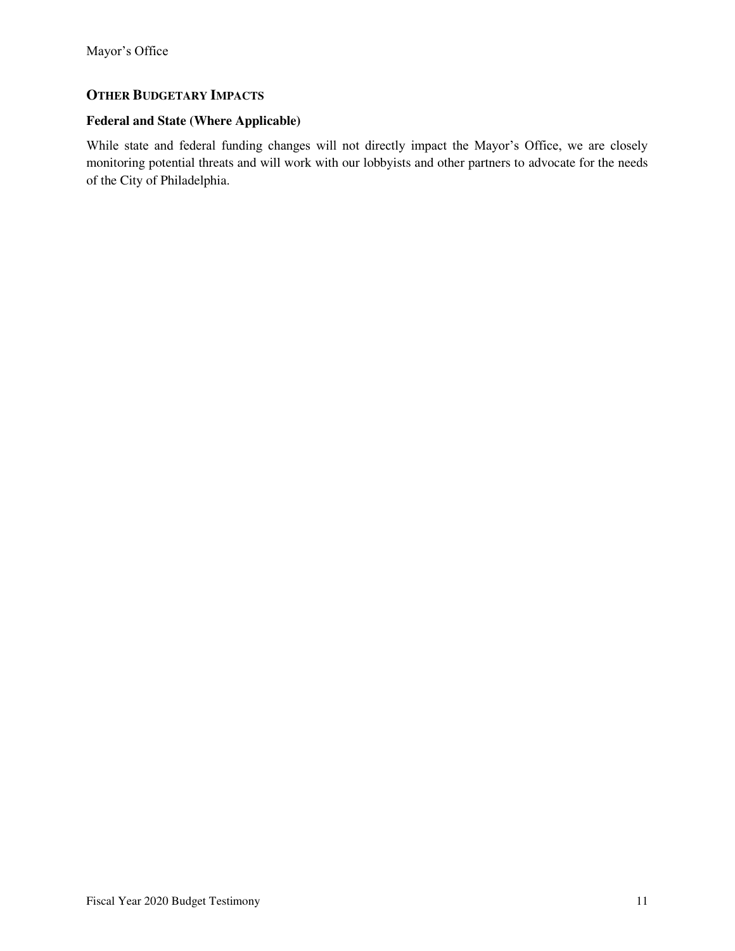## **OTHER BUDGETARY IMPACTS**

## **Federal and State (Where Applicable)**

While state and federal funding changes will not directly impact the Mayor's Office, we are closely monitoring potential threats and will work with our lobbyists and other partners to advocate for the needs of the City of Philadelphia.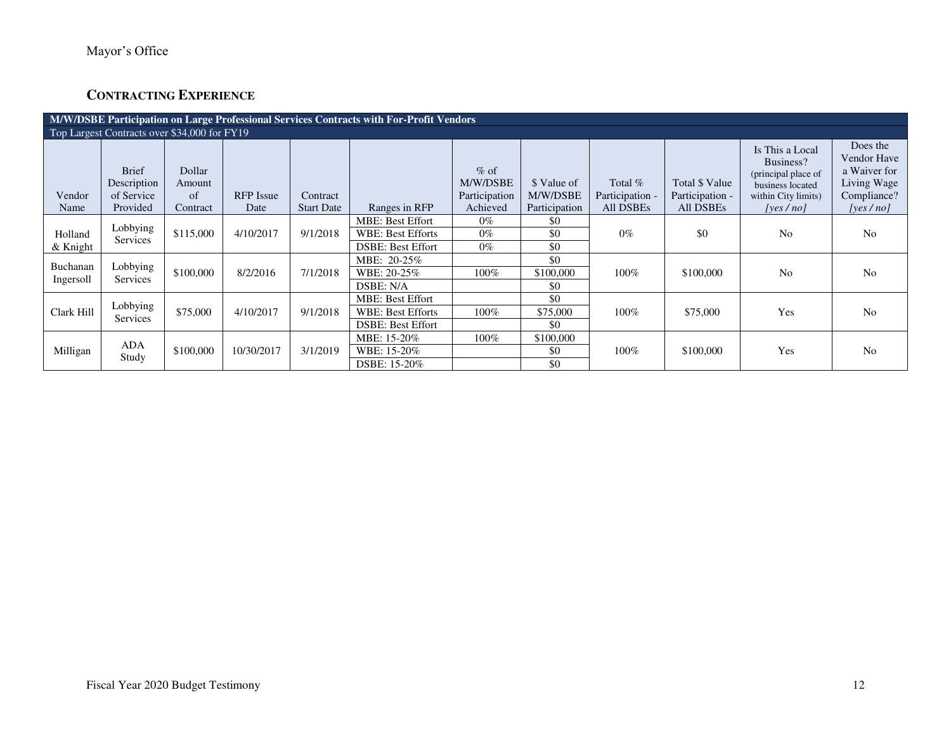# **CONTRACTING EXPERIENCE**

| M/W/DSBE Participation on Large Professional Services Contracts with For-Profit Vendors |                                                       |                                            |                          |                               |                          |                                                 |                                          |                                           |                                                       |                                                                                                                |                                                                                       |  |
|-----------------------------------------------------------------------------------------|-------------------------------------------------------|--------------------------------------------|--------------------------|-------------------------------|--------------------------|-------------------------------------------------|------------------------------------------|-------------------------------------------|-------------------------------------------------------|----------------------------------------------------------------------------------------------------------------|---------------------------------------------------------------------------------------|--|
| Top Largest Contracts over \$34,000 for FY19                                            |                                                       |                                            |                          |                               |                          |                                                 |                                          |                                           |                                                       |                                                                                                                |                                                                                       |  |
| Vendor<br>Name                                                                          | <b>Brief</b><br>Description<br>of Service<br>Provided | Dollar<br>Amount<br>$\sigma$ f<br>Contract | <b>RFP</b> Issue<br>Date | Contract<br><b>Start Date</b> | Ranges in RFP            | $%$ of<br>M/W/DSBE<br>Participation<br>Achieved | \$ Value of<br>M/W/DSBE<br>Participation | Total $%$<br>Participation -<br>All DSBEs | Total \$ Value<br>Participation -<br><b>All DSBEs</b> | Is This a Local<br>Business?<br>(principal place of<br>business located<br>within City limits)<br>[yes $/$ no] | Does the<br>Vendor Have<br>a Waiver for<br>Living Wage<br>Compliance?<br>[yes $/no$ ] |  |
|                                                                                         |                                                       |                                            |                          |                               | <b>MBE: Best Effort</b>  | $0\%$                                           | \$0                                      |                                           |                                                       |                                                                                                                |                                                                                       |  |
| Holland                                                                                 | Lobbying                                              | \$115,000                                  | 4/10/2017                | 9/1/2018                      | <b>WBE: Best Efforts</b> | $0\%$                                           | \$0                                      | $0\%$                                     | \$0                                                   | N <sub>0</sub>                                                                                                 | N <sub>0</sub>                                                                        |  |
| & Knight                                                                                | Services                                              |                                            |                          |                               | <b>DSBE: Best Effort</b> | $0\%$                                           | \$0                                      |                                           |                                                       |                                                                                                                |                                                                                       |  |
| Buchanan                                                                                |                                                       |                                            |                          |                               | MBE: 20-25%              |                                                 | \$0                                      |                                           |                                                       |                                                                                                                |                                                                                       |  |
| Ingersoll                                                                               | Lobbying<br>Services                                  | \$100,000                                  | 8/2/2016                 | 7/1/2018                      | WBE: 20-25%              | 100%                                            | \$100,000                                | 100%                                      | \$100,000                                             | N <sub>0</sub>                                                                                                 | N <sub>o</sub>                                                                        |  |
|                                                                                         |                                                       |                                            |                          |                               | DSBE: N/A                |                                                 | \$0                                      |                                           |                                                       |                                                                                                                |                                                                                       |  |
|                                                                                         | Lobbying                                              |                                            |                          |                               | <b>MBE: Best Effort</b>  |                                                 | \$0                                      |                                           |                                                       |                                                                                                                |                                                                                       |  |
| Clark Hill                                                                              | <b>Services</b>                                       | \$75,000                                   | 4/10/2017                | 9/1/2018                      | <b>WBE: Best Efforts</b> | 100%                                            | \$75,000                                 | 100%                                      | \$75,000                                              | Yes                                                                                                            | N <sub>o</sub>                                                                        |  |
|                                                                                         |                                                       |                                            |                          |                               | <b>DSBE: Best Effort</b> |                                                 | \$0                                      |                                           |                                                       |                                                                                                                |                                                                                       |  |
|                                                                                         | <b>ADA</b>                                            |                                            |                          |                               | MBE: 15-20%              | $100\%$                                         | \$100,000                                |                                           |                                                       |                                                                                                                |                                                                                       |  |
| Milligan                                                                                | Study                                                 | \$100,000                                  | 10/30/2017               | 3/1/2019                      | WBE: 15-20%              |                                                 | \$0                                      | $100\%$                                   | \$100,000                                             | Yes                                                                                                            | N <sub>o</sub>                                                                        |  |
|                                                                                         |                                                       |                                            |                          |                               | DSBE: 15-20%             |                                                 | \$0                                      |                                           |                                                       |                                                                                                                |                                                                                       |  |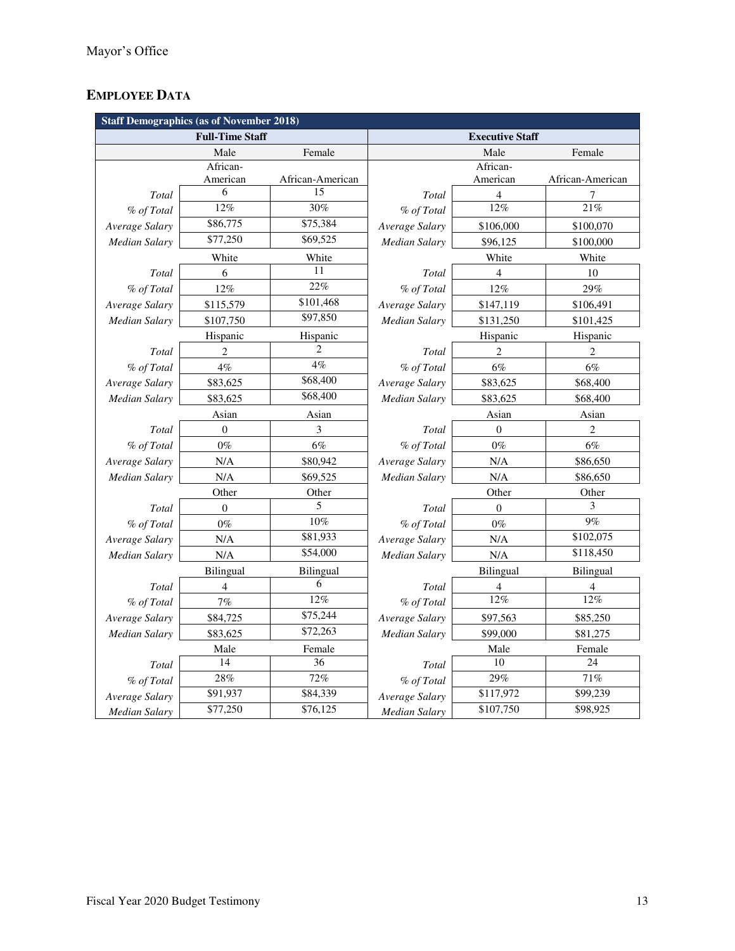# **EMPLOYEE DATA**

| <b>Staff Demographics (as of November 2018)</b> |                        |                  |                        |                          |                  |  |  |  |  |  |
|-------------------------------------------------|------------------------|------------------|------------------------|--------------------------|------------------|--|--|--|--|--|
|                                                 | <b>Full-Time Staff</b> |                  | <b>Executive Staff</b> |                          |                  |  |  |  |  |  |
|                                                 | Male                   | Female           |                        | Male                     | Female           |  |  |  |  |  |
|                                                 | African-               |                  |                        | African-                 |                  |  |  |  |  |  |
|                                                 | American               | African-American |                        | American                 | African-American |  |  |  |  |  |
| Total                                           | 6                      | 15               | Total                  | 4                        | 7                |  |  |  |  |  |
| % of Total                                      | 12%                    | 30%              | % of Total             | 12%                      | 21%              |  |  |  |  |  |
| Average Salary                                  | \$86,775               | \$75,384         | Average Salary         | \$106,000                | \$100,070        |  |  |  |  |  |
| Median Salary                                   | \$77,250               | \$69,525         | Median Salary          | \$96,125                 | \$100,000        |  |  |  |  |  |
|                                                 | White                  | White            |                        | White                    | White            |  |  |  |  |  |
| Total                                           | 6                      | 11               | Total                  | $\overline{\mathcal{L}}$ | 10               |  |  |  |  |  |
| % of Total                                      | 12%                    | $22\%$           | % of Total             | 12%                      | 29%              |  |  |  |  |  |
| Average Salary                                  | \$115,579              | \$101,468        | Average Salary         | \$147,119                | \$106,491        |  |  |  |  |  |
| Median Salary                                   | \$107,750              | \$97,850         | Median Salary          | \$131,250                | \$101,425        |  |  |  |  |  |
|                                                 | Hispanic               | Hispanic         | Hispanic<br>Hispanic   |                          |                  |  |  |  |  |  |
| Total                                           | 2                      |                  | Total                  | $\overline{2}$           | $\overline{c}$   |  |  |  |  |  |
| % of Total                                      | 4%                     | 4%               | % of Total             | $6\%$                    | $6\%$            |  |  |  |  |  |
| Average Salary                                  | \$83,625               | \$68,400         | Average Salary         | \$83,625                 | \$68,400         |  |  |  |  |  |
| Median Salary                                   | \$83,625               | \$68,400         | Median Salary          | \$83,625                 | \$68,400         |  |  |  |  |  |
|                                                 | Asian                  | Asian            |                        | Asian                    | Asian            |  |  |  |  |  |
| Total                                           | $\theta$               | 3                | Total                  | $\overline{0}$           | $\overline{c}$   |  |  |  |  |  |
| % of Total                                      | $0\%$                  | $6\%$            | % of Total             | $0\%$                    | 6%               |  |  |  |  |  |
| Average Salary                                  | N/A                    | \$80,942         | Average Salary         | N/A                      | \$86,650         |  |  |  |  |  |
| Median Salary                                   | N/A                    | \$69,525         | Median Salary          | N/A                      | \$86,650         |  |  |  |  |  |
|                                                 | Other                  | Other            | Other<br>Other         |                          |                  |  |  |  |  |  |
| Total                                           | $\boldsymbol{0}$       | 5                | Total                  | $\theta$                 | 3                |  |  |  |  |  |
| % of Total                                      | $0\%$                  | $10\%$           | % of Total             | $0\%$                    | 9%               |  |  |  |  |  |
| Average Salary                                  | N/A                    | \$81,933         | Average Salary         | N/A                      | \$102,075        |  |  |  |  |  |
| Median Salary                                   | N/A                    | \$54,000         | Median Salary          | N/A                      | \$118,450        |  |  |  |  |  |
|                                                 | Bilingual              | Bilingual        |                        | Bilingual                | Bilingual        |  |  |  |  |  |
| Total                                           | $\overline{4}$         | 6                | Total                  | $\overline{\mathcal{L}}$ | 4                |  |  |  |  |  |
| % of Total                                      | 7%                     | 12%              | % of Total             | 12%                      | 12%              |  |  |  |  |  |
| Average Salary                                  | \$84,725               | \$75,244         | Average Salary         | \$97,563                 | \$85,250         |  |  |  |  |  |
| Median Salary                                   | \$83,625               | \$72,263         | Median Salary          | \$99,000                 | \$81,275         |  |  |  |  |  |
|                                                 | Male                   | Female           |                        | Male                     | Female           |  |  |  |  |  |
| Total                                           | 14                     | 36               | Total                  | 10                       | 24               |  |  |  |  |  |
| % of Total                                      | 28%                    | 72%              | % of Total             | 29%                      | 71%              |  |  |  |  |  |
| Average Salary                                  | \$91,937               | \$84,339         | Average Salary         | \$117,972                | \$99,239         |  |  |  |  |  |
| Median Salary                                   | \$77,250               | \$76,125         | <b>Median Salary</b>   | \$107,750                | \$98,925         |  |  |  |  |  |